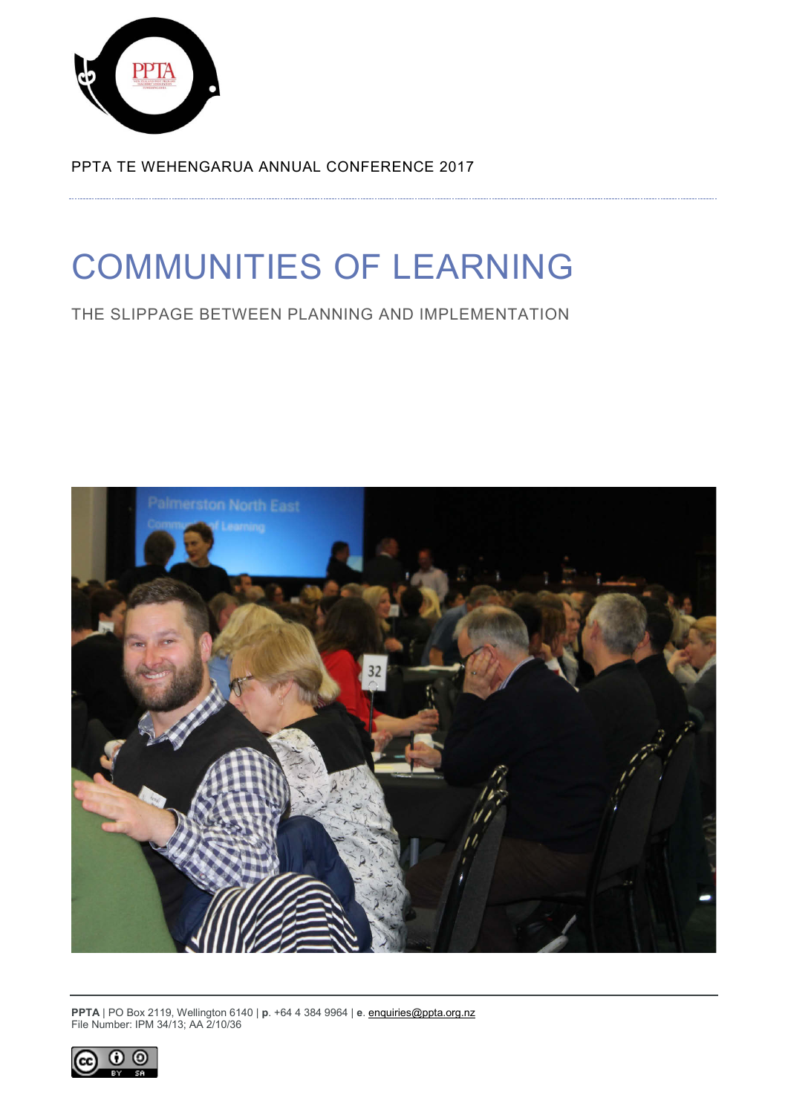

PPTA TE WEHENGARUA ANNUAL CONFERENCE 2017

# COMMUNITIES OF LEARNING

THE SLIPPAGE BETWEEN PLANNING AND IMPLEMENTATION



**PPTA** | PO Box 2119, Wellington 6140 | **p**. +64 4 384 9964 | **e**[. enquiries@ppta.org.nz](mailto:enquiries@ppta.org.nz) File Number: IPM 34/13; AA 2/10/36

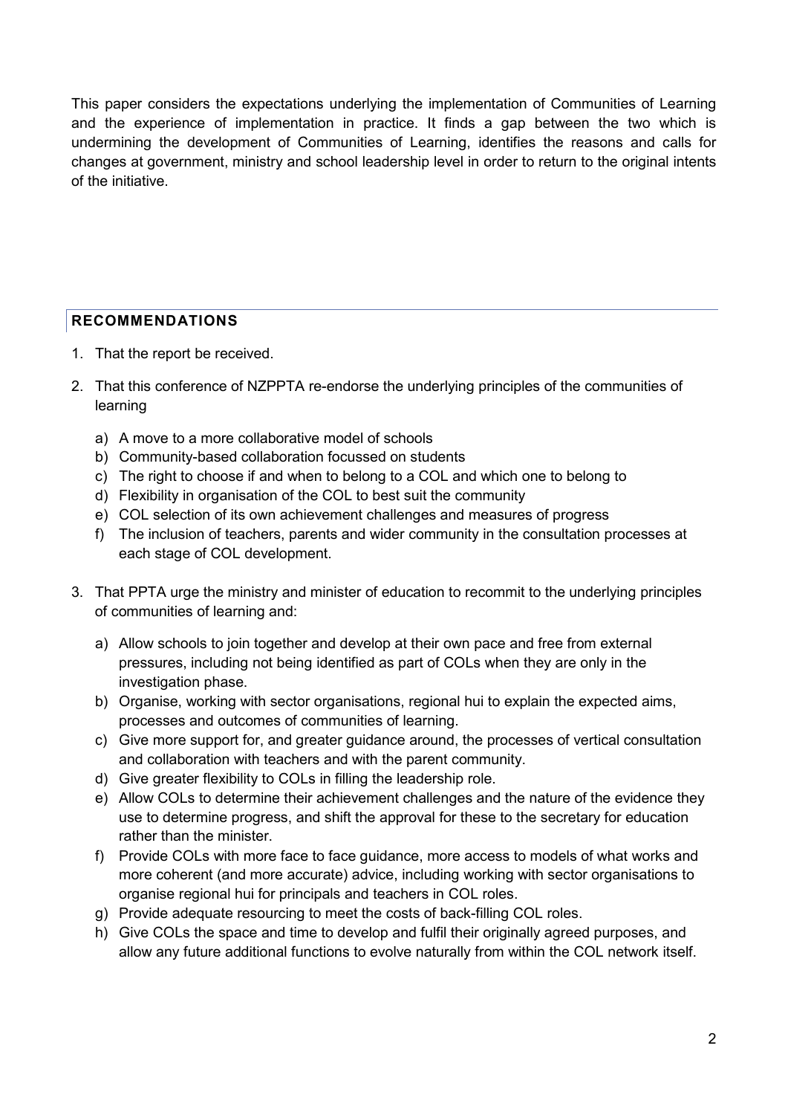This paper considers the expectations underlying the implementation of Communities of Learning and the experience of implementation in practice. It finds a gap between the two which is undermining the development of Communities of Learning, identifies the reasons and calls for changes at government, ministry and school leadership level in order to return to the original intents of the initiative.

# <span id="page-1-0"></span>**RECOMMENDATIONS**

- 1. That the report be received.
- 2. That this conference of NZPPTA re-endorse the underlying principles of the communities of learning
	- a) A move to a more collaborative model of schools
	- b) Community-based collaboration focussed on students
	- c) The right to choose if and when to belong to a COL and which one to belong to
	- d) Flexibility in organisation of the COL to best suit the community
	- e) COL selection of its own achievement challenges and measures of progress
	- f) The inclusion of teachers, parents and wider community in the consultation processes at each stage of COL development.
- 3. That PPTA urge the ministry and minister of education to recommit to the underlying principles of communities of learning and:
	- a) Allow schools to join together and develop at their own pace and free from external pressures, including not being identified as part of COLs when they are only in the investigation phase.
	- b) Organise, working with sector organisations, regional hui to explain the expected aims, processes and outcomes of communities of learning.
	- c) Give more support for, and greater guidance around, the processes of vertical consultation and collaboration with teachers and with the parent community.
	- d) Give greater flexibility to COLs in filling the leadership role.
	- e) Allow COLs to determine their achievement challenges and the nature of the evidence they use to determine progress, and shift the approval for these to the secretary for education rather than the minister.
	- f) Provide COLs with more face to face guidance, more access to models of what works and more coherent (and more accurate) advice, including working with sector organisations to organise regional hui for principals and teachers in COL roles.
	- g) Provide adequate resourcing to meet the costs of back-filling COL roles.
	- h) Give COLs the space and time to develop and fulfil their originally agreed purposes, and allow any future additional functions to evolve naturally from within the COL network itself.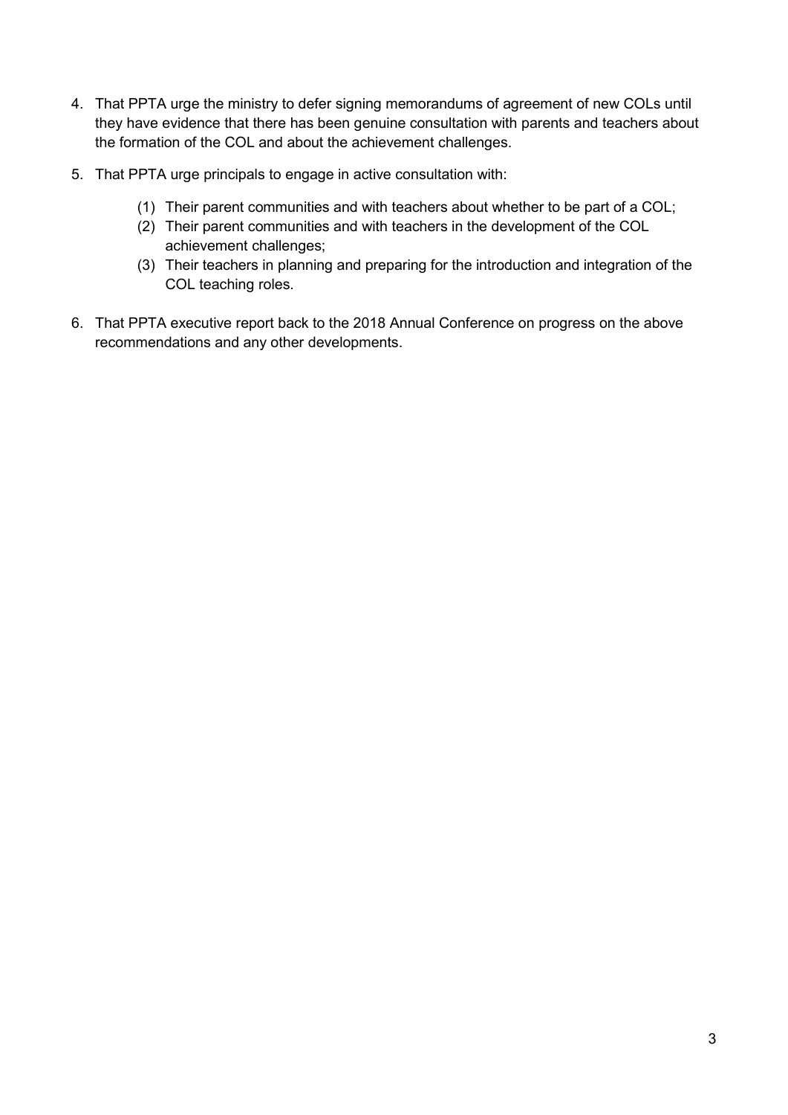- 4. That PPTA urge the ministry to defer signing memorandums of agreement of new COLs until they have evidence that there has been genuine consultation with parents and teachers about the formation of the COL and about the achievement challenges.
- 5. That PPTA urge principals to engage in active consultation with:
	- (1) Their parent communities and with teachers about whether to be part of a COL;
	- (2) Their parent communities and with teachers in the development of the COL achievement challenges;
	- (3) Their teachers in planning and preparing for the introduction and integration of the COL teaching roles.
- 6. That PPTA executive report back to the 2018 Annual Conference on progress on the above recommendations and any other developments.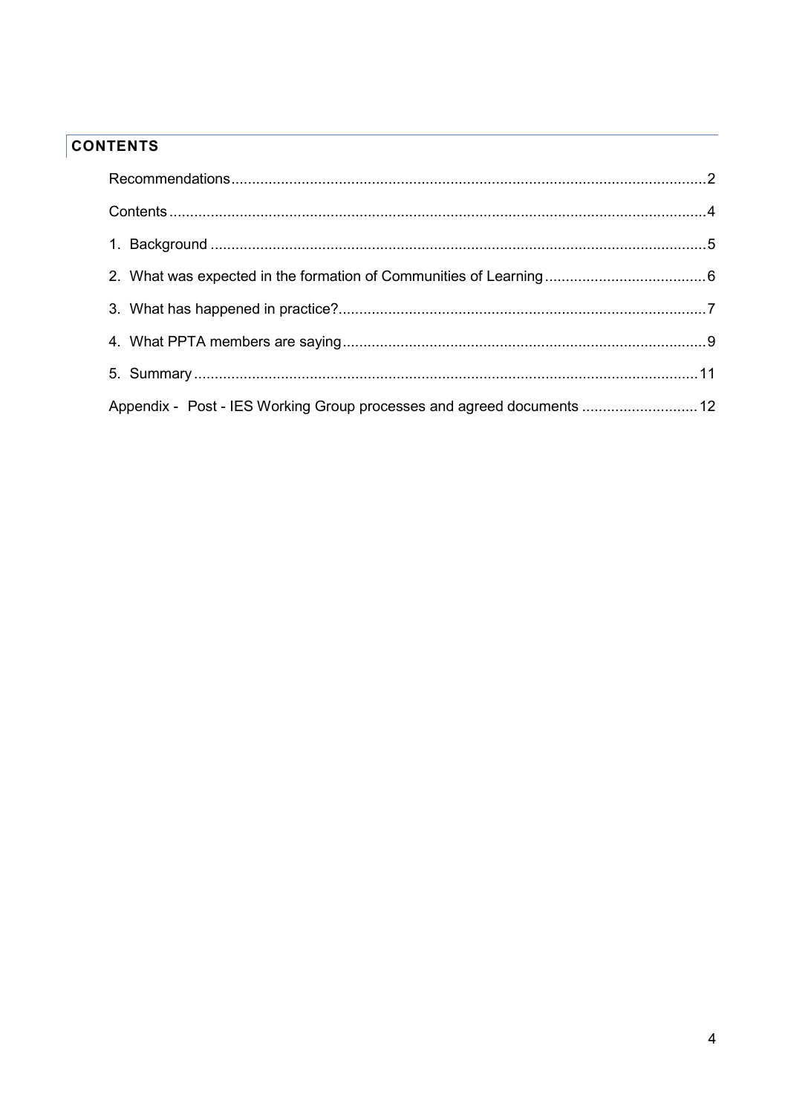# <span id="page-3-0"></span>**CONTENTS**

| Appendix - Post - IES Working Group processes and agreed documents  12 |  |
|------------------------------------------------------------------------|--|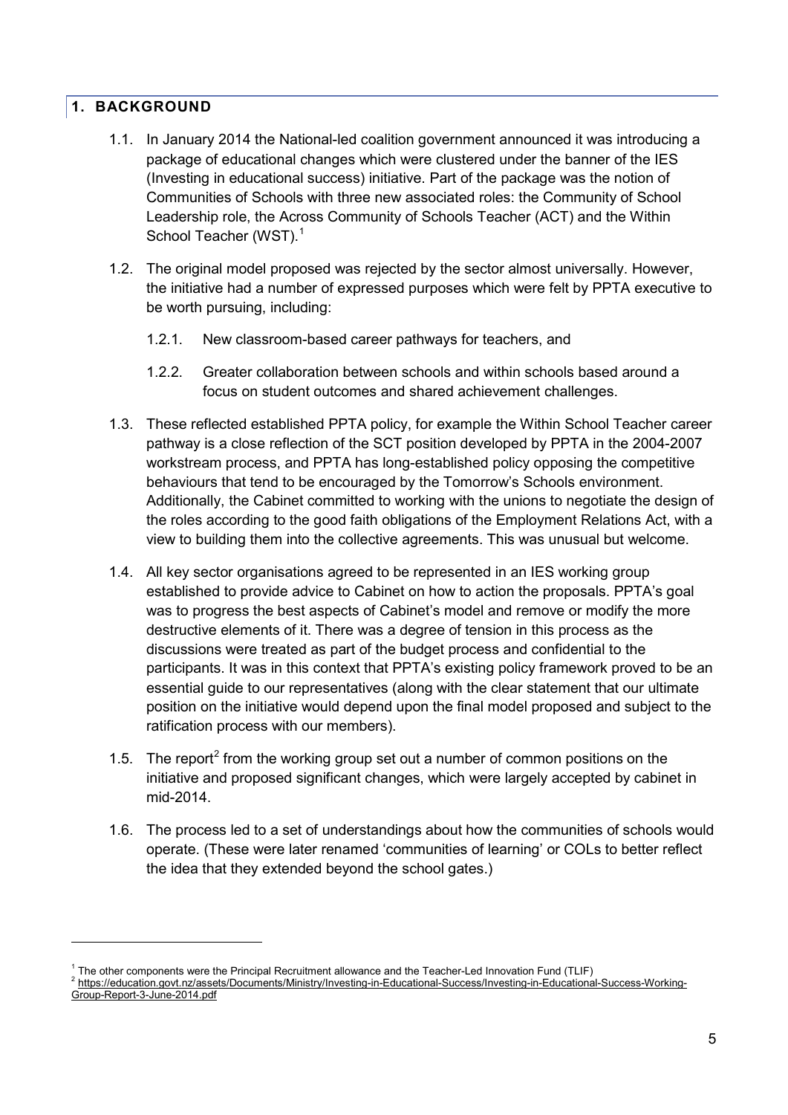#### <span id="page-4-0"></span>**1. BACKGROUND**

-

- 1.1. In January 2014 the National-led coalition government announced it was introducing a package of educational changes which were clustered under the banner of the IES (Investing in educational success) initiative. Part of the package was the notion of Communities of Schools with three new associated roles: the Community of School Leadership role, the Across Community of Schools Teacher (ACT) and the Within School Teacher (WST).<sup>[1](#page-4-1)</sup>
- 1.2. The original model proposed was rejected by the sector almost universally. However, the initiative had a number of expressed purposes which were felt by PPTA executive to be worth pursuing, including:
	- 1.2.1. New classroom-based career pathways for teachers, and
	- 1.2.2. Greater collaboration between schools and within schools based around a focus on student outcomes and shared achievement challenges.
- 1.3. These reflected established PPTA policy, for example the Within School Teacher career pathway is a close reflection of the SCT position developed by PPTA in the 2004-2007 workstream process, and PPTA has long-established policy opposing the competitive behaviours that tend to be encouraged by the Tomorrow's Schools environment. Additionally, the Cabinet committed to working with the unions to negotiate the design of the roles according to the good faith obligations of the Employment Relations Act, with a view to building them into the collective agreements. This was unusual but welcome.
- 1.4. All key sector organisations agreed to be represented in an IES working group established to provide advice to Cabinet on how to action the proposals. PPTA's goal was to progress the best aspects of Cabinet's model and remove or modify the more destructive elements of it. There was a degree of tension in this process as the discussions were treated as part of the budget process and confidential to the participants. It was in this context that PPTA's existing policy framework proved to be an essential guide to our representatives (along with the clear statement that our ultimate position on the initiative would depend upon the final model proposed and subject to the ratification process with our members).
- 1.5. The report<sup>[2](#page-4-2)</sup> from the working group set out a number of common positions on the initiative and proposed significant changes, which were largely accepted by cabinet in mid-2014.
- 1.6. The process led to a set of understandings about how the communities of schools would operate. (These were later renamed 'communities of learning' or COLs to better reflect the idea that they extended beyond the school gates.)

<span id="page-4-2"></span><span id="page-4-1"></span><sup>&</sup>lt;sup>1</sup> The other components were the Principal Recruitment allowance and the Teacher-Led Innovation Fund (TLIF)<br>  $^2$  https://education.govt.nz/assets/Documents/Ministry/Investing-in-Educational-Success/Investing-in-Educatio [Group-Report-3-June-2014.pdf](https://education.govt.nz/assets/Documents/Ministry/Investing-in-Educational-Success/Investing-in-Educational-Success-Working-Group-Report-3-June-2014.pdf)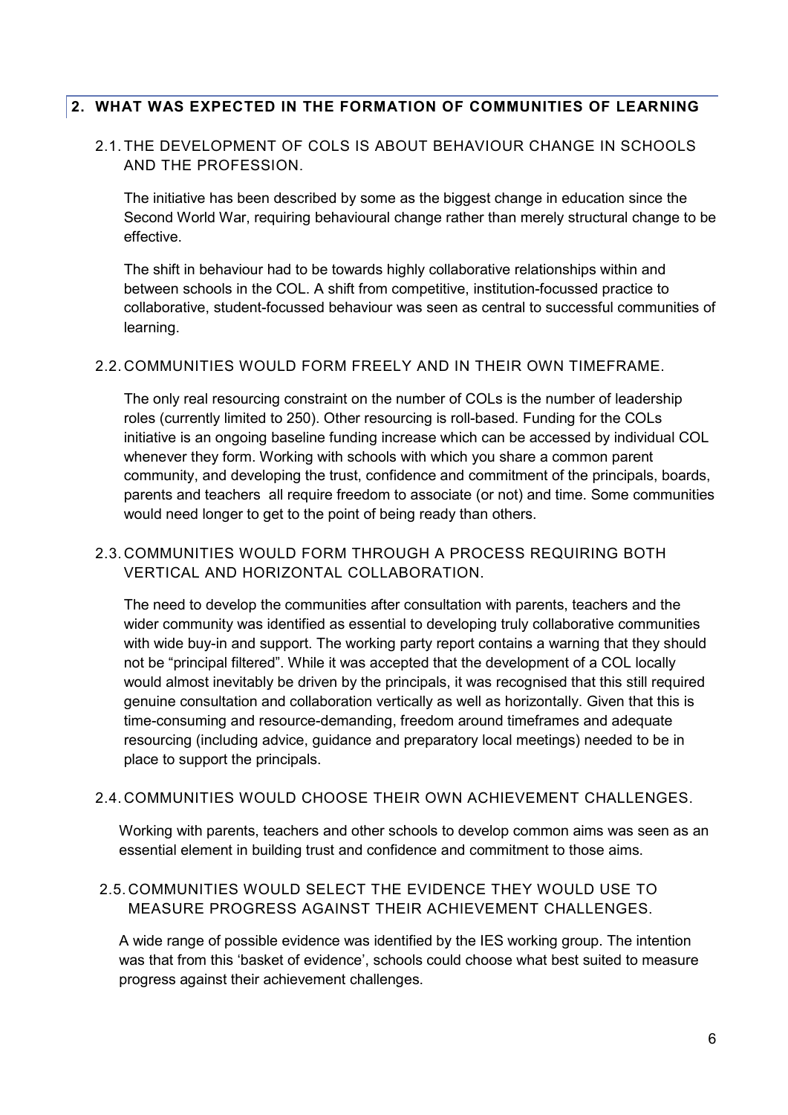#### <span id="page-5-0"></span>**2. WHAT WAS EXPECTED IN THE FORMATION OF COMMUNITIES OF LEARNING**

#### 2.1. THE DEVELOPMENT OF COLS IS ABOUT BEHAVIOUR CHANGE IN SCHOOLS AND THE PROFESSION.

The initiative has been described by some as the biggest change in education since the Second World War, requiring behavioural change rather than merely structural change to be effective.

The shift in behaviour had to be towards highly collaborative relationships within and between schools in the COL. A shift from competitive, institution-focussed practice to collaborative, student-focussed behaviour was seen as central to successful communities of learning.

#### 2.2. COMMUNITIES WOULD FORM FREELY AND IN THEIR OWN TIMEFRAME.

The only real resourcing constraint on the number of COLs is the number of leadership roles (currently limited to 250). Other resourcing is roll-based. Funding for the COLs initiative is an ongoing baseline funding increase which can be accessed by individual COL whenever they form. Working with schools with which you share a common parent community, and developing the trust, confidence and commitment of the principals, boards, parents and teachers all require freedom to associate (or not) and time. Some communities would need longer to get to the point of being ready than others.

#### 2.3. COMMUNITIES WOULD FORM THROUGH A PROCESS REQUIRING BOTH VERTICAL AND HORIZONTAL COLLABORATION.

The need to develop the communities after consultation with parents, teachers and the wider community was identified as essential to developing truly collaborative communities with wide buy-in and support. The working party report contains a warning that they should not be "principal filtered". While it was accepted that the development of a COL locally would almost inevitably be driven by the principals, it was recognised that this still required genuine consultation and collaboration vertically as well as horizontally. Given that this is time-consuming and resource-demanding, freedom around timeframes and adequate resourcing (including advice, guidance and preparatory local meetings) needed to be in place to support the principals.

#### 2.4. COMMUNITIES WOULD CHOOSE THEIR OWN ACHIEVEMENT CHALLENGES.

Working with parents, teachers and other schools to develop common aims was seen as an essential element in building trust and confidence and commitment to those aims.

#### 2.5. COMMUNITIES WOULD SELECT THE EVIDENCE THEY WOULD USE TO MEASURE PROGRESS AGAINST THEIR ACHIEVEMENT CHALLENGES.

A wide range of possible evidence was identified by the IES working group. The intention was that from this 'basket of evidence', schools could choose what best suited to measure progress against their achievement challenges.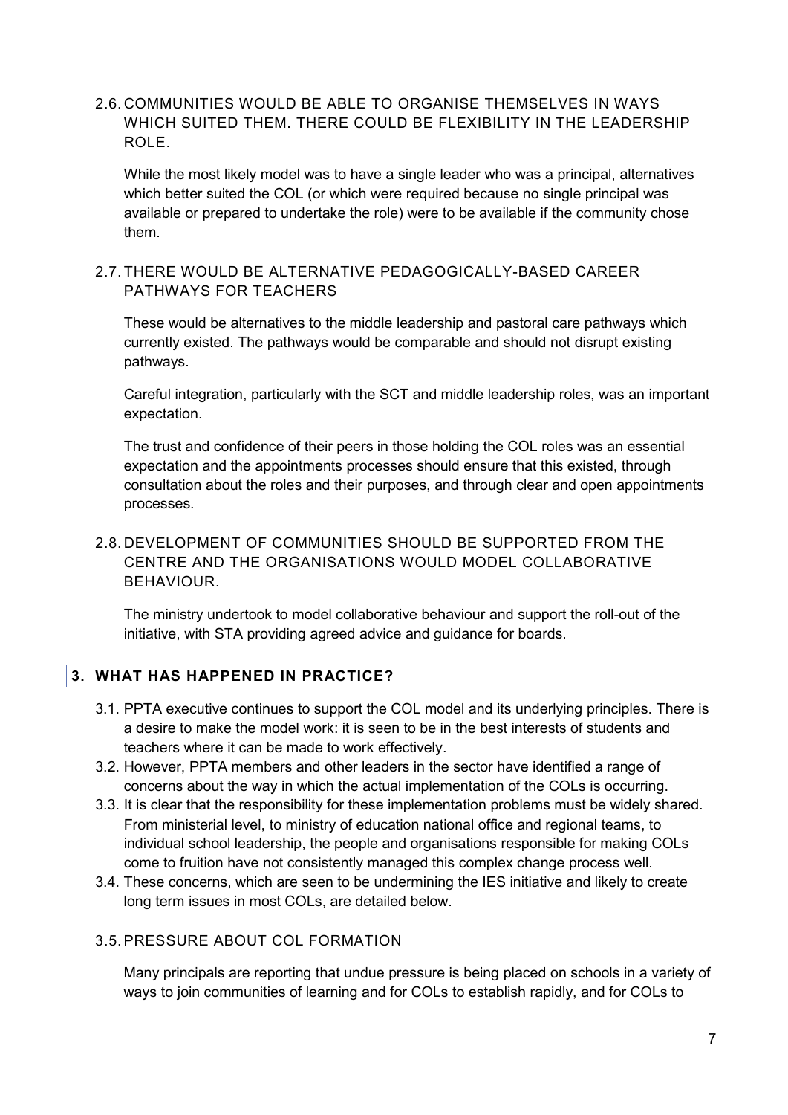2.6. COMMUNITIES WOULD BE ABLE TO ORGANISE THEMSELVES IN WAYS WHICH SUITED THEM. THERE COULD BE FLEXIBILITY IN THE LEADERSHIP ROLE.

While the most likely model was to have a single leader who was a principal, alternatives which better suited the COL (or which were required because no single principal was available or prepared to undertake the role) were to be available if the community chose them.

#### 2.7. THERE WOULD BE ALTERNATIVE PEDAGOGICALLY-BASED CAREER PATHWAYS FOR TEACHERS

These would be alternatives to the middle leadership and pastoral care pathways which currently existed. The pathways would be comparable and should not disrupt existing pathways.

Careful integration, particularly with the SCT and middle leadership roles, was an important expectation.

The trust and confidence of their peers in those holding the COL roles was an essential expectation and the appointments processes should ensure that this existed, through consultation about the roles and their purposes, and through clear and open appointments processes.

# 2.8. DEVELOPMENT OF COMMUNITIES SHOULD BE SUPPORTED FROM THE CENTRE AND THE ORGANISATIONS WOULD MODEL COLLABORATIVE BEHAVIOUR.

The ministry undertook to model collaborative behaviour and support the roll-out of the initiative, with STA providing agreed advice and guidance for boards.

# <span id="page-6-0"></span>**3. WHAT HAS HAPPENED IN PRACTICE?**

- 3.1. PPTA executive continues to support the COL model and its underlying principles. There is a desire to make the model work: it is seen to be in the best interests of students and teachers where it can be made to work effectively.
- 3.2. However, PPTA members and other leaders in the sector have identified a range of concerns about the way in which the actual implementation of the COLs is occurring.
- 3.3. It is clear that the responsibility for these implementation problems must be widely shared. From ministerial level, to ministry of education national office and regional teams, to individual school leadership, the people and organisations responsible for making COLs come to fruition have not consistently managed this complex change process well.
- 3.4. These concerns, which are seen to be undermining the IES initiative and likely to create long term issues in most COLs, are detailed below.

#### 3.5.PRESSURE ABOUT COL FORMATION

Many principals are reporting that undue pressure is being placed on schools in a variety of ways to join communities of learning and for COLs to establish rapidly, and for COLs to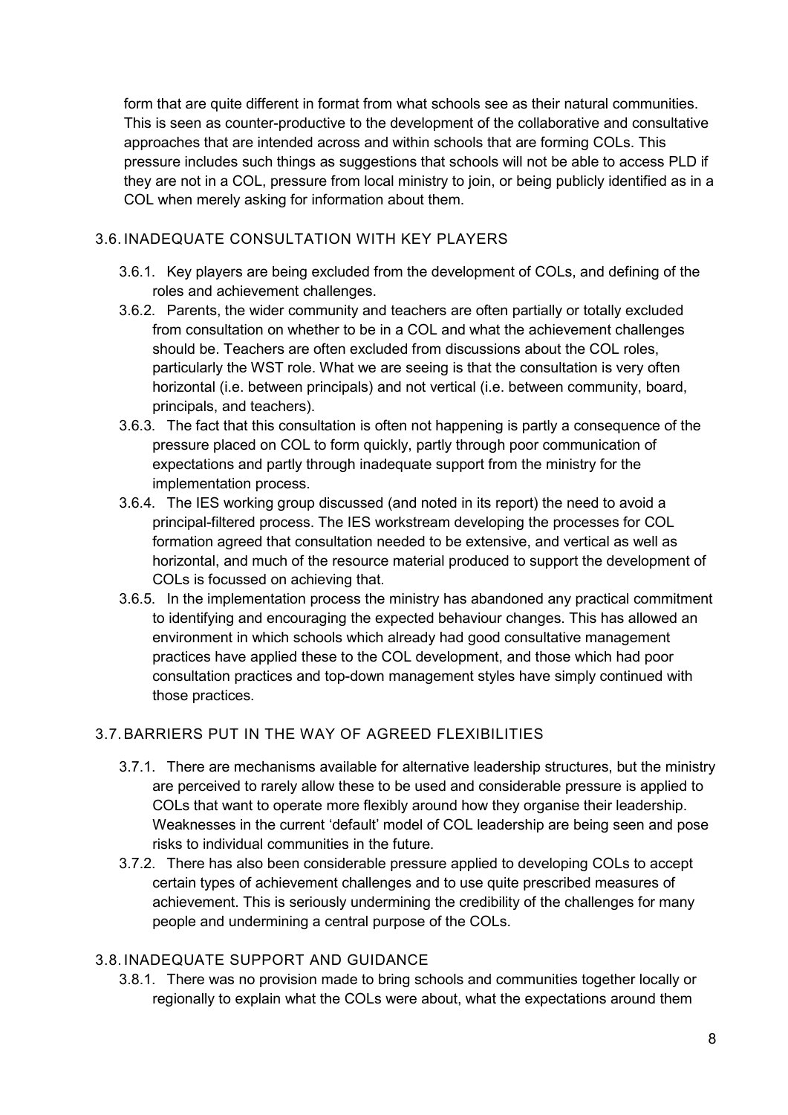form that are quite different in format from what schools see as their natural communities. This is seen as counter-productive to the development of the collaborative and consultative approaches that are intended across and within schools that are forming COLs. This pressure includes such things as suggestions that schools will not be able to access PLD if they are not in a COL, pressure from local ministry to join, or being publicly identified as in a COL when merely asking for information about them.

#### 3.6. INADEQUATE CONSULTATION WITH KEY PLAYERS

- 3.6.1. Key players are being excluded from the development of COLs, and defining of the roles and achievement challenges.
- 3.6.2. Parents, the wider community and teachers are often partially or totally excluded from consultation on whether to be in a COL and what the achievement challenges should be. Teachers are often excluded from discussions about the COL roles, particularly the WST role. What we are seeing is that the consultation is very often horizontal (i.e. between principals) and not vertical (i.e. between community, board, principals, and teachers).
- 3.6.3. The fact that this consultation is often not happening is partly a consequence of the pressure placed on COL to form quickly, partly through poor communication of expectations and partly through inadequate support from the ministry for the implementation process.
- 3.6.4. The IES working group discussed (and noted in its report) the need to avoid a principal-filtered process. The IES workstream developing the processes for COL formation agreed that consultation needed to be extensive, and vertical as well as horizontal, and much of the resource material produced to support the development of COLs is focussed on achieving that.
- 3.6.5. In the implementation process the ministry has abandoned any practical commitment to identifying and encouraging the expected behaviour changes. This has allowed an environment in which schools which already had good consultative management practices have applied these to the COL development, and those which had poor consultation practices and top-down management styles have simply continued with those practices.

# 3.7.BARRIERS PUT IN THE WAY OF AGREED FLEXIBILITIES

- 3.7.1. There are mechanisms available for alternative leadership structures, but the ministry are perceived to rarely allow these to be used and considerable pressure is applied to COLs that want to operate more flexibly around how they organise their leadership. Weaknesses in the current 'default' model of COL leadership are being seen and pose risks to individual communities in the future.
- 3.7.2. There has also been considerable pressure applied to developing COLs to accept certain types of achievement challenges and to use quite prescribed measures of achievement. This is seriously undermining the credibility of the challenges for many people and undermining a central purpose of the COLs.

# 3.8. INADEQUATE SUPPORT AND GUIDANCE

3.8.1. There was no provision made to bring schools and communities together locally or regionally to explain what the COLs were about, what the expectations around them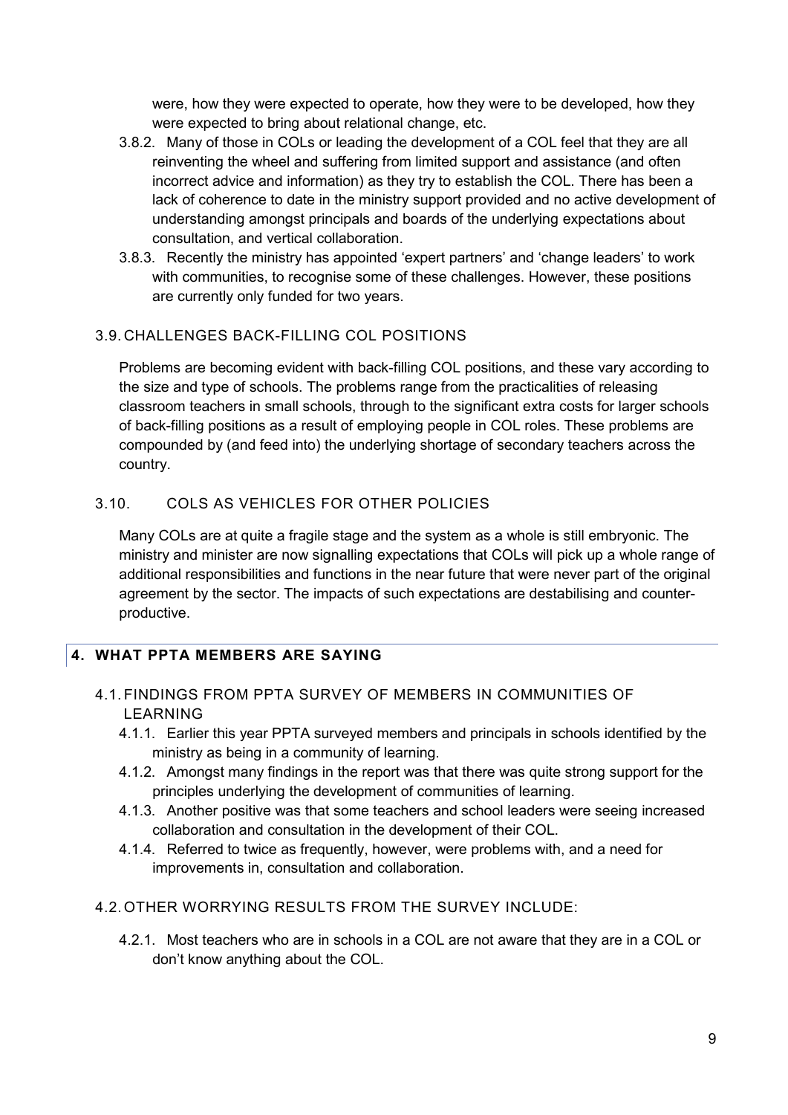were, how they were expected to operate, how they were to be developed, how they were expected to bring about relational change, etc.

- 3.8.2. Many of those in COLs or leading the development of a COL feel that they are all reinventing the wheel and suffering from limited support and assistance (and often incorrect advice and information) as they try to establish the COL. There has been a lack of coherence to date in the ministry support provided and no active development of understanding amongst principals and boards of the underlying expectations about consultation, and vertical collaboration.
- 3.8.3. Recently the ministry has appointed 'expert partners' and 'change leaders' to work with communities, to recognise some of these challenges. However, these positions are currently only funded for two years.

# 3.9. CHALLENGES BACK-FILLING COL POSITIONS

Problems are becoming evident with back-filling COL positions, and these vary according to the size and type of schools. The problems range from the practicalities of releasing classroom teachers in small schools, through to the significant extra costs for larger schools of back-filling positions as a result of employing people in COL roles. These problems are compounded by (and feed into) the underlying shortage of secondary teachers across the country.

# 3.10. COLS AS VEHICLES FOR OTHER POLICIES

Many COLs are at quite a fragile stage and the system as a whole is still embryonic. The ministry and minister are now signalling expectations that COLs will pick up a whole range of additional responsibilities and functions in the near future that were never part of the original agreement by the sector. The impacts of such expectations are destabilising and counterproductive.

# <span id="page-8-0"></span>**4. WHAT PPTA MEMBERS ARE SAYING**

#### 4.1. FINDINGS FROM PPTA SURVEY OF MEMBERS IN COMMUNITIES OF LEARNING

- 4.1.1. Earlier this year PPTA surveyed members and principals in schools identified by the ministry as being in a community of learning.
- 4.1.2. Amongst many findings in the report was that there was quite strong support for the principles underlying the development of communities of learning.
- 4.1.3. Another positive was that some teachers and school leaders were seeing increased collaboration and consultation in the development of their COL.
- 4.1.4. Referred to twice as frequently, however, were problems with, and a need for improvements in, consultation and collaboration.
- 4.2. OTHER WORRYING RESULTS FROM THE SURVEY INCLUDE:
	- 4.2.1. Most teachers who are in schools in a COL are not aware that they are in a COL or don't know anything about the COL.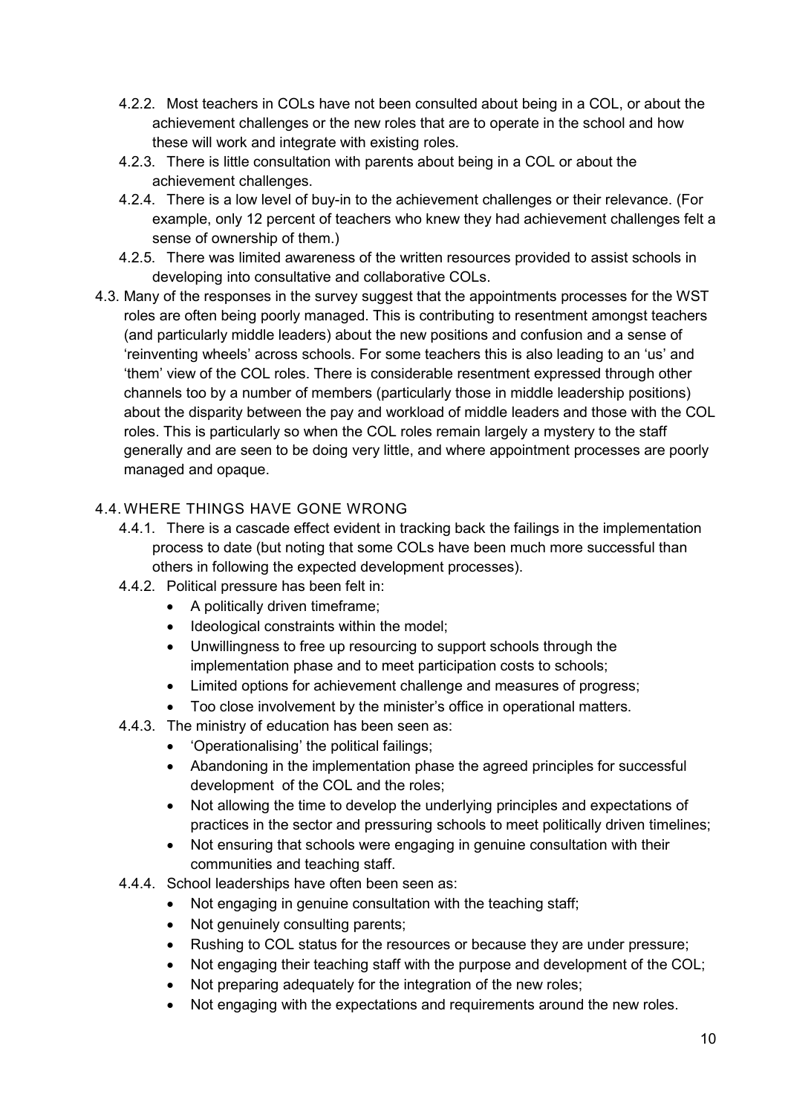- 4.2.2. Most teachers in COLs have not been consulted about being in a COL, or about the achievement challenges or the new roles that are to operate in the school and how these will work and integrate with existing roles.
- 4.2.3. There is little consultation with parents about being in a COL or about the achievement challenges.
- 4.2.4. There is a low level of buy-in to the achievement challenges or their relevance. (For example, only 12 percent of teachers who knew they had achievement challenges felt a sense of ownership of them.)
- 4.2.5. There was limited awareness of the written resources provided to assist schools in developing into consultative and collaborative COLs.
- 4.3. Many of the responses in the survey suggest that the appointments processes for the WST roles are often being poorly managed. This is contributing to resentment amongst teachers (and particularly middle leaders) about the new positions and confusion and a sense of 'reinventing wheels' across schools. For some teachers this is also leading to an 'us' and 'them' view of the COL roles. There is considerable resentment expressed through other channels too by a number of members (particularly those in middle leadership positions) about the disparity between the pay and workload of middle leaders and those with the COL roles. This is particularly so when the COL roles remain largely a mystery to the staff generally and are seen to be doing very little, and where appointment processes are poorly managed and opaque.

# 4.4.WHERE THINGS HAVE GONE WRONG

- 4.4.1. There is a cascade effect evident in tracking back the failings in the implementation process to date (but noting that some COLs have been much more successful than others in following the expected development processes).
- 4.4.2. Political pressure has been felt in:
	- A politically driven timeframe;
	- Ideological constraints within the model;
	- Unwillingness to free up resourcing to support schools through the implementation phase and to meet participation costs to schools;
	- Limited options for achievement challenge and measures of progress;
	- Too close involvement by the minister's office in operational matters.
- 4.4.3. The ministry of education has been seen as:
	- 'Operationalising' the political failings;
	- Abandoning in the implementation phase the agreed principles for successful development of the COL and the roles;
	- Not allowing the time to develop the underlying principles and expectations of practices in the sector and pressuring schools to meet politically driven timelines;
	- Not ensuring that schools were engaging in genuine consultation with their communities and teaching staff.
- 4.4.4. School leaderships have often been seen as:
	- Not engaging in genuine consultation with the teaching staff;
	- Not genuinely consulting parents;
	- Rushing to COL status for the resources or because they are under pressure;
	- Not engaging their teaching staff with the purpose and development of the COL;
	- Not preparing adequately for the integration of the new roles;
	- Not engaging with the expectations and requirements around the new roles.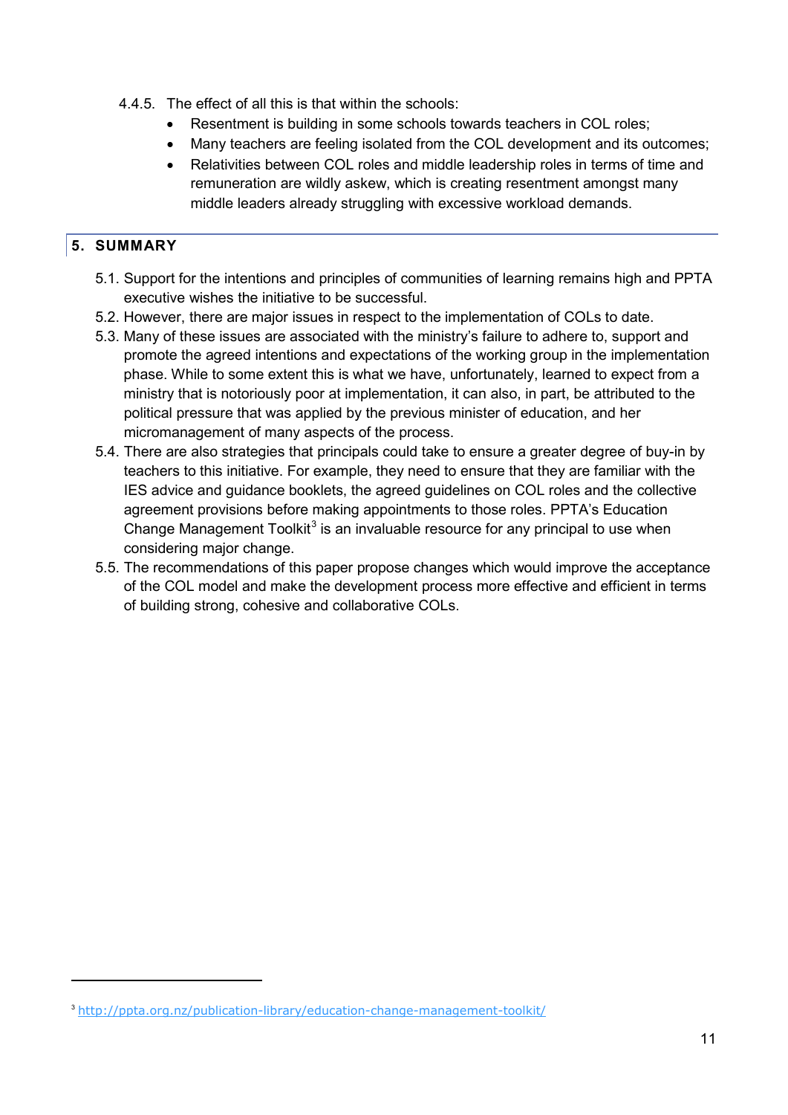- 4.4.5. The effect of all this is that within the schools:
	- Resentment is building in some schools towards teachers in COL roles;
	- Many teachers are feeling isolated from the COL development and its outcomes;
	- Relativities between COL roles and middle leadership roles in terms of time and remuneration are wildly askew, which is creating resentment amongst many middle leaders already struggling with excessive workload demands.

#### <span id="page-10-0"></span>**5. SUMMARY**

-

- 5.1. Support for the intentions and principles of communities of learning remains high and PPTA executive wishes the initiative to be successful.
- 5.2. However, there are major issues in respect to the implementation of COLs to date.
- 5.3. Many of these issues are associated with the ministry's failure to adhere to, support and promote the agreed intentions and expectations of the working group in the implementation phase. While to some extent this is what we have, unfortunately, learned to expect from a ministry that is notoriously poor at implementation, it can also, in part, be attributed to the political pressure that was applied by the previous minister of education, and her micromanagement of many aspects of the process.
- 5.4. There are also strategies that principals could take to ensure a greater degree of buy-in by teachers to this initiative. For example, they need to ensure that they are familiar with the IES advice and guidance booklets, the agreed guidelines on COL roles and the collective agreement provisions before making appointments to those roles. PPTA's Education Change Management Toolkit<sup>[3](#page-10-1)</sup> is an invaluable resource for any principal to use when considering major change.
- 5.5. The recommendations of this paper propose changes which would improve the acceptance of the COL model and make the development process more effective and efficient in terms of building strong, cohesive and collaborative COLs.

<span id="page-10-1"></span><sup>3</sup> <http://ppta.org.nz/publication-library/education-change-management-toolkit/>